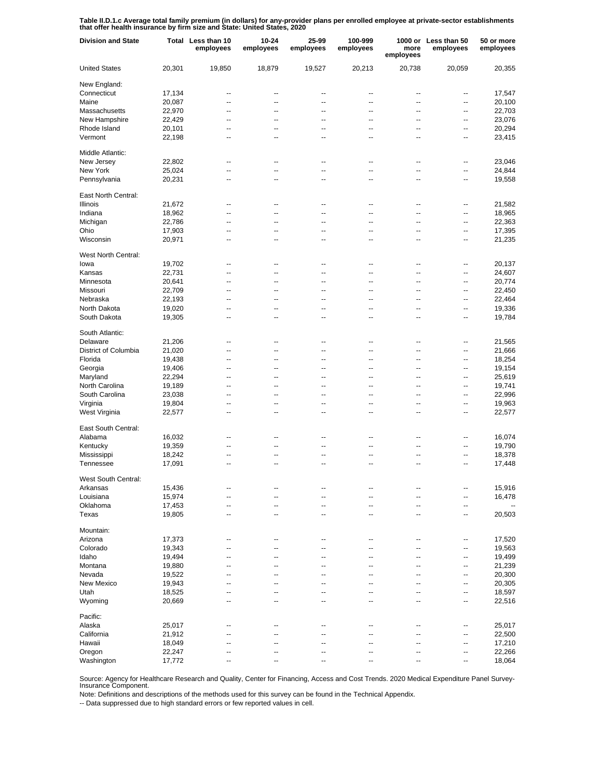**Table II.D.1.c Average total family premium (in dollars) for any-provider plans per enrolled employee at private-sector establishments that offer health insurance by firm size and State: United States, 2020**

| <b>Division and State</b>       |                  | Total Less than 10<br>employees | 10-24<br>employees | 25-99<br>employees | 100-999<br>employees           | more<br>employees                                    | 1000 or Less than 50<br>employees | 50 or more<br>employees |
|---------------------------------|------------------|---------------------------------|--------------------|--------------------|--------------------------------|------------------------------------------------------|-----------------------------------|-------------------------|
| <b>United States</b>            | 20,301           | 19,850                          | 18,879             | 19,527             | 20,213                         | 20,738                                               | 20,059                            | 20,355                  |
| New England:                    |                  |                                 |                    |                    |                                |                                                      |                                   |                         |
| Connecticut                     | 17,134           | --                              | --                 | --                 | $\overline{\phantom{a}}$       | $\overline{\phantom{a}}$                             | --                                | 17,547                  |
| Maine                           | 20,087           | $\overline{\phantom{a}}$        | $\overline{a}$     | --                 | $\overline{\phantom{a}}$       | $\overline{\phantom{a}}$                             | --                                | 20,100                  |
| Massachusetts                   | 22,970           | --                              | --                 | --                 | $\overline{\phantom{a}}$       | $\overline{\phantom{a}}$                             | $\overline{a}$                    | 22,703                  |
| New Hampshire                   | 22,429           | $\overline{\phantom{a}}$        | --                 | --                 | $\overline{\phantom{a}}$       | $\overline{\phantom{a}}$                             | $\overline{\phantom{a}}$          | 23,076                  |
| Rhode Island                    | 20,101           | $\overline{a}$                  | --                 | --                 | $\overline{\phantom{a}}$       | $\overline{\phantom{a}}$                             | $\overline{a}$                    | 20,294                  |
| Vermont                         | 22,198           | $\overline{\phantom{a}}$        | --                 | --                 | $\overline{\phantom{a}}$       | $\overline{\phantom{a}}$                             | $\overline{\phantom{a}}$          | 23,415                  |
| Middle Atlantic:                |                  |                                 |                    |                    |                                |                                                      |                                   |                         |
| New Jersey                      | 22,802           | $\overline{a}$                  | --                 | --                 | --                             | $\overline{\phantom{a}}$                             | --                                | 23,046                  |
| New York                        | 25,024           | ۵.                              | --                 | $\overline{a}$     | --                             | $\overline{a}$                                       | --                                | 24,844                  |
| Pennsylvania                    | 20,231           | $\overline{a}$                  | --                 | $\overline{a}$     | --                             |                                                      | --                                | 19,558                  |
| East North Central:             |                  |                                 |                    |                    |                                |                                                      |                                   |                         |
| <b>Illinois</b>                 | 21,672           | ۰.                              | --                 | --                 | ۰.                             | --                                                   | --                                | 21,582                  |
| Indiana                         | 18,962           | --                              | --                 | --                 | --                             | --                                                   | --                                | 18,965                  |
| Michigan                        | 22,786           | --                              | --                 | --                 | --                             | --                                                   | --                                | 22,363                  |
| Ohio                            | 17,903           | --                              | --                 | --                 | --                             | --                                                   | --                                | 17,395                  |
| Wisconsin                       |                  | --                              | --                 | --                 | --                             | --                                                   | --                                | 21,235                  |
|                                 | 20,971           |                                 |                    |                    |                                |                                                      |                                   |                         |
| West North Central:             |                  |                                 |                    |                    |                                |                                                      |                                   |                         |
| lowa                            | 19,702           | $\overline{\phantom{a}}$        | --                 | --                 | $\overline{\phantom{a}}$       | $\overline{\phantom{a}}$                             | --                                | 20,137                  |
| Kansas                          | 22,731           | $\overline{\phantom{a}}$        | $\overline{a}$     | --                 | --                             | $\overline{\phantom{a}}$                             | --                                | 24,607                  |
| Minnesota                       | 20,641           | $\overline{a}$                  | --                 | --                 | $\overline{\phantom{a}}$       | $\overline{\phantom{a}}$                             | $\overline{a}$                    | 20,774                  |
| Missouri                        | 22,709           | $\overline{\phantom{a}}$        | --                 | --                 | $\overline{\phantom{a}}$       | $\overline{\phantom{a}}$                             | $\overline{\phantom{a}}$          | 22,450                  |
| Nebraska                        | 22,193           | $\overline{a}$                  | --                 | --                 | $\overline{\phantom{a}}$       | $\overline{\phantom{a}}$                             | $\overline{a}$                    | 22,464                  |
| North Dakota                    | 19,020           | $\overline{\phantom{a}}$        | --                 | --                 | $\overline{\phantom{a}}$       | $\overline{\phantom{a}}$                             | $\overline{\phantom{a}}$          | 19,336                  |
| South Dakota                    | 19,305           | $\overline{a}$                  | --                 | --                 | $\overline{\phantom{a}}$       | $\overline{\phantom{a}}$                             | $\overline{a}$                    | 19,784                  |
| South Atlantic:                 |                  |                                 |                    |                    |                                |                                                      |                                   |                         |
| Delaware                        | 21,206           | --                              | --                 | --                 | --                             | --                                                   | --                                | 21,565                  |
| District of Columbia            | 21,020           | $\overline{a}$                  | --                 | $\overline{a}$     | Ξ.                             |                                                      | --                                | 21,666                  |
|                                 |                  | $\overline{a}$                  | --                 | $\overline{a}$     | --                             | $\overline{a}$                                       | --                                |                         |
| Florida                         | 19,438           | $\overline{a}$                  | --                 | $\overline{a}$     |                                | $\overline{a}$                                       |                                   | 18,254                  |
| Georgia                         | 19,406           |                                 |                    |                    | --                             |                                                      | --                                | 19,154                  |
| Maryland                        | 22,294           | $\overline{a}$                  | --                 | $\overline{a}$     | --                             | $\overline{a}$                                       | --                                | 25,619                  |
| North Carolina                  | 19,189           | $\overline{a}$                  | --                 | $\overline{a}$     | --                             | $\overline{a}$                                       | --                                | 19,741                  |
| South Carolina                  | 23,038           | Ξ.                              | --                 | $\overline{a}$     | --                             | $\overline{a}$                                       | --                                | 22,996                  |
| Virginia                        | 19,804           | $\overline{a}$                  | Ξ.                 | $\overline{a}$     | --                             | $\overline{a}$                                       | --                                | 19,963                  |
| West Virginia                   | 22,577           | Ξ.                              | --                 | $\overline{a}$     | --                             | $\overline{a}$                                       | --                                | 22,577                  |
| East South Central:             |                  |                                 |                    |                    |                                |                                                      |                                   |                         |
| Alabama                         | 16,032           | ۰.                              | --                 | --                 | --                             |                                                      | -−                                | 16,074                  |
| Kentucky                        | 19,359           | --                              |                    |                    | --                             |                                                      | --                                | 19,790                  |
| Mississippi                     | 18,242           | --                              | --                 | ٠.                 | --                             |                                                      | --                                | 18,378                  |
| Tennessee                       | 17,091           | --                              | --                 | ٠.                 | --                             | --                                                   | --                                | 17,448                  |
|                                 |                  |                                 |                    |                    |                                |                                                      |                                   |                         |
| West South Central:<br>Arkansas | 15,436           | --                              | --                 |                    |                                |                                                      | --                                | 15,916                  |
|                                 |                  |                                 |                    |                    |                                |                                                      |                                   |                         |
| Louisiana                       | 15,974           | $\overline{\phantom{a}}$        | --                 | --                 | --                             | $\overline{\phantom{a}}$                             | $\overline{\phantom{a}}$          | 16,478                  |
| Oklahoma<br>Texas               | 17,453<br>19,805 | --<br>$\overline{\phantom{a}}$  | --<br>--           | --<br>--           | $\overline{\phantom{a}}$<br>-- | $\overline{\phantom{a}}$<br>$\overline{\phantom{a}}$ | --<br>$-$                         | 20,503                  |
|                                 |                  |                                 |                    |                    |                                |                                                      |                                   |                         |
| Mountain:                       |                  |                                 |                    |                    |                                |                                                      |                                   |                         |
| Arizona                         | 17,373           | --                              | --                 | --                 | --                             |                                                      | --                                | 17,520                  |
| Colorado                        | 19,343           | Ξ.                              | --                 |                    | ٠.                             | --                                                   | --                                | 19,563                  |
| Idaho                           | 19,494           | $\overline{a}$                  | --                 |                    | --                             |                                                      | --                                | 19,499                  |
| Montana                         | 19,880           | $\overline{a}$                  | --                 |                    | ٠.                             | --                                                   | --                                | 21,239                  |
| Nevada                          | 19,522           | Ξ.                              | --                 |                    | --                             |                                                      | --                                | 20,300                  |
| New Mexico                      | 19,943           | --                              | --                 |                    | --                             |                                                      | --                                | 20,305                  |
| Utah                            | 18,525           | Ξ.                              | --                 |                    | --                             |                                                      | --                                | 18,597                  |
| Wyoming                         | 20,669           | --                              | --                 |                    | ٠.                             |                                                      | --                                | 22,516                  |
|                                 |                  |                                 |                    |                    |                                |                                                      |                                   |                         |
| Pacific:                        |                  |                                 |                    |                    |                                |                                                      |                                   |                         |
| Alaska                          | 25,017           | --                              | --                 | --                 | --                             |                                                      | --                                | 25,017                  |
| California                      | 21,912           | --                              |                    |                    |                                |                                                      | --                                | 22,500                  |
| Hawaii                          | 18,049           | --                              | --                 | ٠.                 | --                             |                                                      | ۰.                                | 17,210                  |
| Oregon                          | 22,247           | --                              |                    |                    |                                |                                                      | --                                | 22,266                  |
| Washington                      | 17,772           | $\overline{\phantom{a}}$        | --                 | --                 | ۰.                             | $\overline{\phantom{a}}$                             | ۰.                                | 18,064                  |

Source: Agency for Healthcare Research and Quality, Center for Financing, Access and Cost Trends. 2020 Medical Expenditure Panel Survey-Insurance Component.

Note: Definitions and descriptions of the methods used for this survey can be found in the Technical Appendix.

-- Data suppressed due to high standard errors or few reported values in cell.